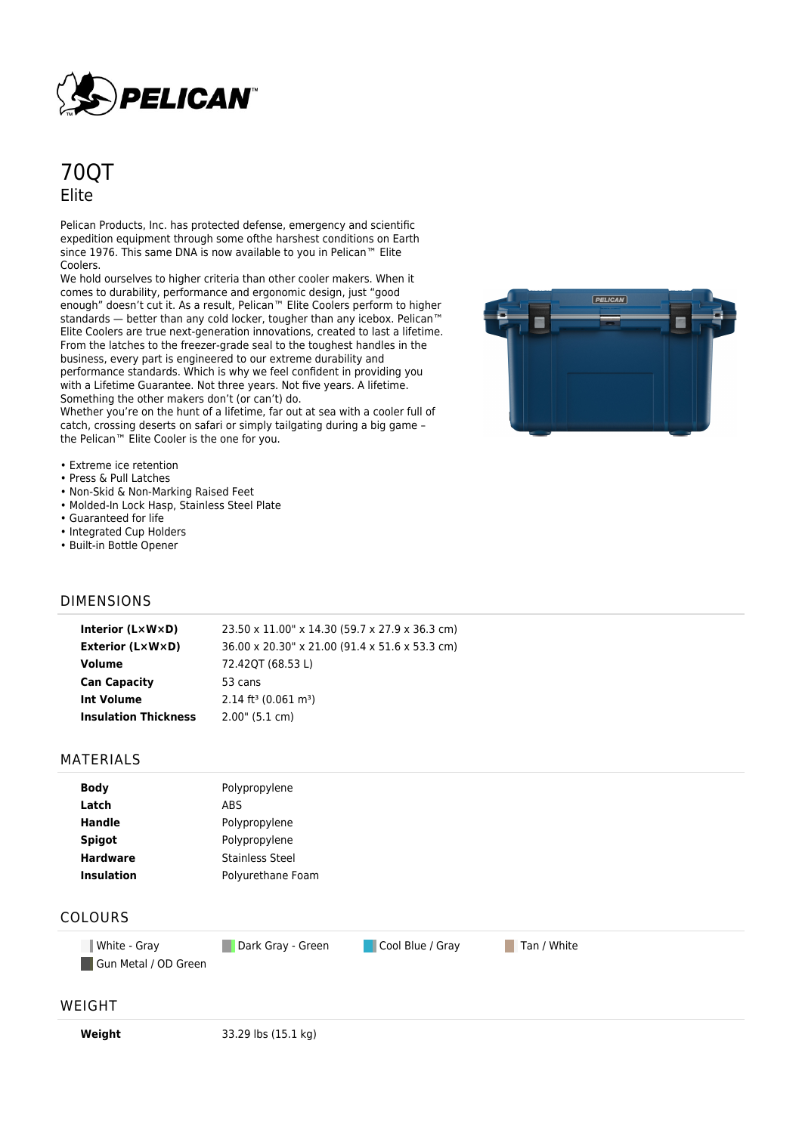

# 70QT Elite

Pelican Products, Inc. has protected defense, emergency and scientific expedition equipment through some ofthe harshest conditions on Earth since 1976. This same DNA is now available to you in Pelican™ Elite Coolers.

We hold ourselves to higher criteria than other cooler makers. When it comes to durability, performance and ergonomic design, just "good enough" doesn't cut it. As a result, Pelican™ Elite Coolers perform to higher standards — better than any cold locker, tougher than any icebox. Pelican™ Elite Coolers are true next-generation innovations, created to last a lifetime. From the latches to the freezer-grade seal to the toughest handles in the business, every part is engineered to our extreme durability and performance standards. Which is why we feel confident in providing you with a Lifetime Guarantee. Not three years. Not five years. A lifetime. Something the other makers don't (or can't) do.

Whether you're on the hunt of a lifetime, far out at sea with a cooler full of catch, crossing deserts on safari or simply tailgating during a big game – the Pelican™ Elite Cooler is the one for you.



- Extreme ice retention
- Press & Pull Latches
- Non-Skid & Non-Marking Raised Feet
- Molded-In Lock Hasp, Stainless Steel Plate
- Guaranteed for life
- Integrated Cup Holders
- Built-in Bottle Opener

### DIMENSIONS

| Interior (LxWxD)            | 23.50 x 11.00" x 14.30 (59.7 x 27.9 x 36.3 cm) |
|-----------------------------|------------------------------------------------|
| <b>Exterior (L×W×D)</b>     | 36.00 x 20.30" x 21.00 (91.4 x 51.6 x 53.3 cm) |
| Volume                      | 72.42QT (68.53 L)                              |
| <b>Can Capacity</b>         | 53 cans                                        |
| <b>Int Volume</b>           | $2.14$ ft <sup>3</sup> (0.061 m <sup>3</sup> ) |
| <b>Insulation Thickness</b> | $2.00$ " (5.1 cm)                              |
|                             |                                                |

#### MATERIALS

| <b>Body</b>       | Polypropylene          |
|-------------------|------------------------|
| Latch             | ABS                    |
| <b>Handle</b>     | Polypropylene          |
| <b>Spigot</b>     | Polypropylene          |
| <b>Hardware</b>   | <b>Stainless Steel</b> |
| <b>Insulation</b> | Polyurethane Foam      |
|                   |                        |

## COLOURS

**White - Gray Cool Blue / Gray Tan / White Cool Blue / Gray Tan / White** Gun Metal / OD Green

#### WEIGHT